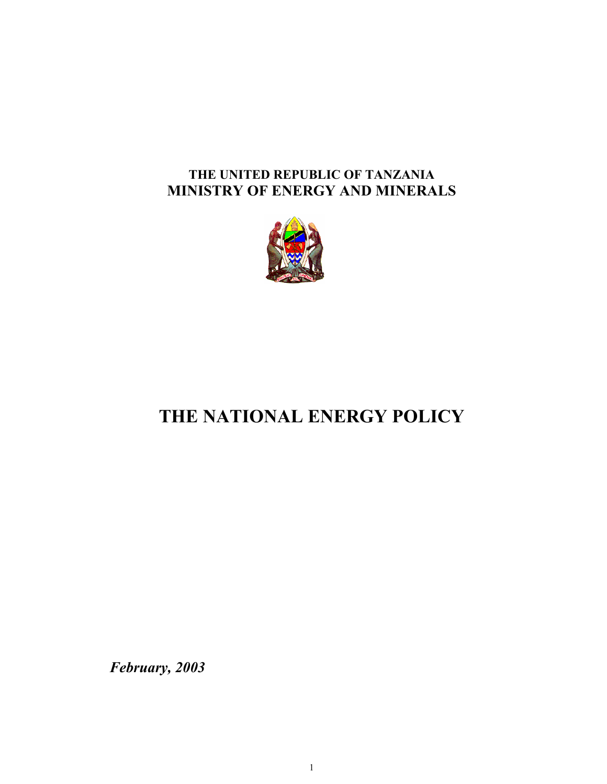# **THE UNITED REPUBLIC OF TANZANIA MINISTRY OF ENERGY AND MINERALS**



# **THE NATIONAL ENERGY POLICY**

*February, 2003*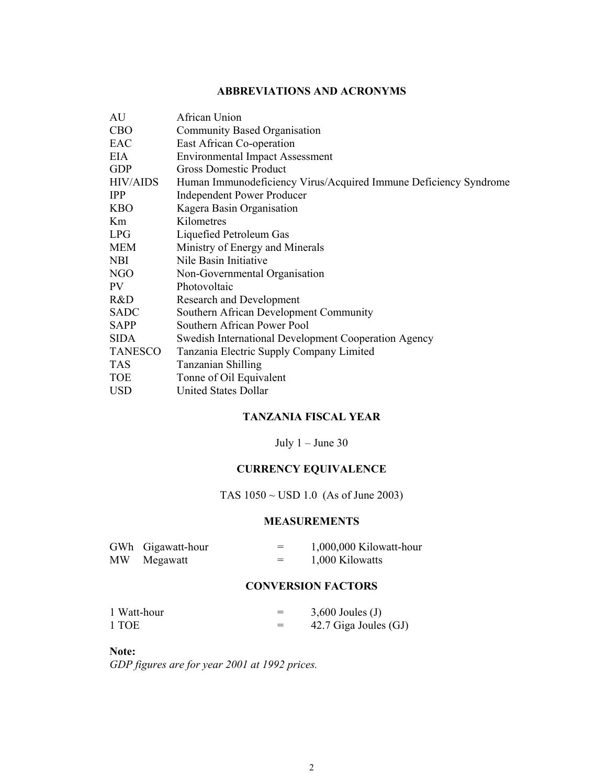#### **ABBREVIATIONS AND ACRONYMS**

| AU              | African Union                                                    |
|-----------------|------------------------------------------------------------------|
| <b>CBO</b>      | <b>Community Based Organisation</b>                              |
| EAC             | East African Co-operation                                        |
| EIA             | <b>Environmental Impact Assessment</b>                           |
| <b>GDP</b>      | <b>Gross Domestic Product</b>                                    |
| <b>HIV/AIDS</b> | Human Immunodeficiency Virus/Acquired Immune Deficiency Syndrome |
| <b>IPP</b>      | <b>Independent Power Producer</b>                                |
| <b>KBO</b>      | Kagera Basin Organisation                                        |
| Km              | Kilometres                                                       |
| <b>LPG</b>      | Liquefied Petroleum Gas                                          |
| MEM             | Ministry of Energy and Minerals                                  |
| <b>NBI</b>      | Nile Basin Initiative                                            |
| NGO             | Non-Governmental Organisation                                    |
| PV.             | Photovoltaic                                                     |
| R&D             | Research and Development                                         |
| <b>SADC</b>     | Southern African Development Community                           |
| <b>SAPP</b>     | Southern African Power Pool                                      |
| <b>SIDA</b>     | <b>Swedish International Development Cooperation Agency</b>      |
| <b>TANESCO</b>  | Tanzania Electric Supply Company Limited                         |
| <b>TAS</b>      | Tanzanian Shilling                                               |
| <b>TOE</b>      | Tonne of Oil Equivalent                                          |
| <b>USD</b>      | <b>United States Dollar</b>                                      |

# **TANZANIA FISCAL YEAR**

July  $1 -$  June 30

# **CURRENCY EQUIVALENCE**

TAS 1050 ~ USD 1.0 (As of June 2003)

#### **MEASUREMENTS**

|    | GWh Gigawatt-hour | $\overline{\phantom{a}}$<br>$\overline{\phantom{m}}$ | 1,000,000 Kilowatt-hour |
|----|-------------------|------------------------------------------------------|-------------------------|
| MW | Megawatt          | =                                                    | 1,000 Kilowatts         |

#### **CONVERSION FACTORS**

| 1 Watt-hour | $3,600$ Joules (J)    |
|-------------|-----------------------|
| 1 TOE       | 42.7 Giga Joules (GJ) |

**Note:** 

*GDP figures are for year 2001 at 1992 prices.*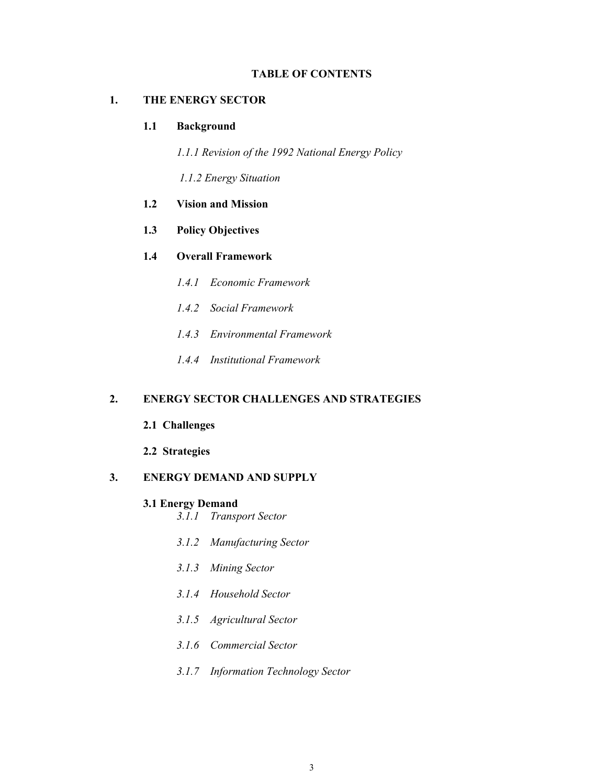#### **TABLE OF CONTENTS**

#### **1. THE ENERGY SECTOR**

#### **1.1 Background**

*1.1.1 Revision of the 1992 National Energy Policy* 

 *1.1.2 Energy Situation* 

- **1.2 Vision and Mission**
- **1.3 Policy Objectives**

#### **1.4 Overall Framework**

- *1.4.1 Economic Framework*
- *1.4.2 Social Framework*
- *1.4.3 Environmental Framework*
- *1.4.4 Institutional Framework*

#### **2. ENERGY SECTOR CHALLENGES AND STRATEGIES**

- **2.1 Challenges**
- **2.2 Strategies**

#### **3. ENERGY DEMAND AND SUPPLY**

#### **3.1 Energy Demand**

- *3.1.1 Transport Sector*
- *3.1.2 Manufacturing Sector*
- *3.1.3 Mining Sector*
- *3.1.4 Household Sector*
- *3.1.5 Agricultural Sector*
- *3.1.6 Commercial Sector*
- *3.1.7 Information Technology Sector*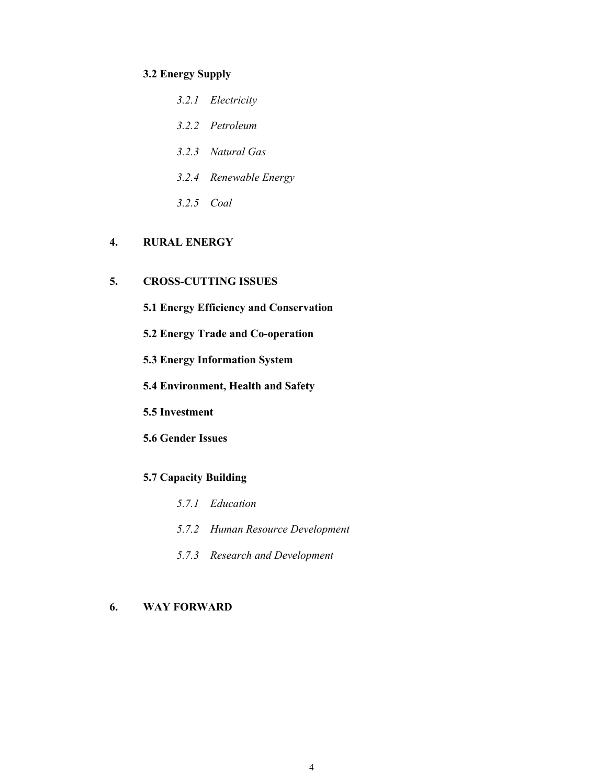#### **3.2 Energy Supply**

- *3.2.1 Electricity*
- *3.2.2 Petroleum*
- *3.2.3 Natural Gas*
- *3.2.4 Renewable Energy*
- *3.2.5 Coal*

# **4. RURAL ENERGY**

# **5. CROSS-CUTTING ISSUES**

- **5.1 Energy Efficiency and Conservation**
- **5.2 Energy Trade and Co-operation**
- **5.3 Energy Information System**
- **5.4 Environment, Health and Safety**
- **5.5 Investment**
- **5.6 Gender Issues**

# **5.7 Capacity Building**

- *5.7.1 Education*
- *5.7.2 Human Resource Development*
- *5.7.3 Research and Development*

# **6. WAY FORWARD**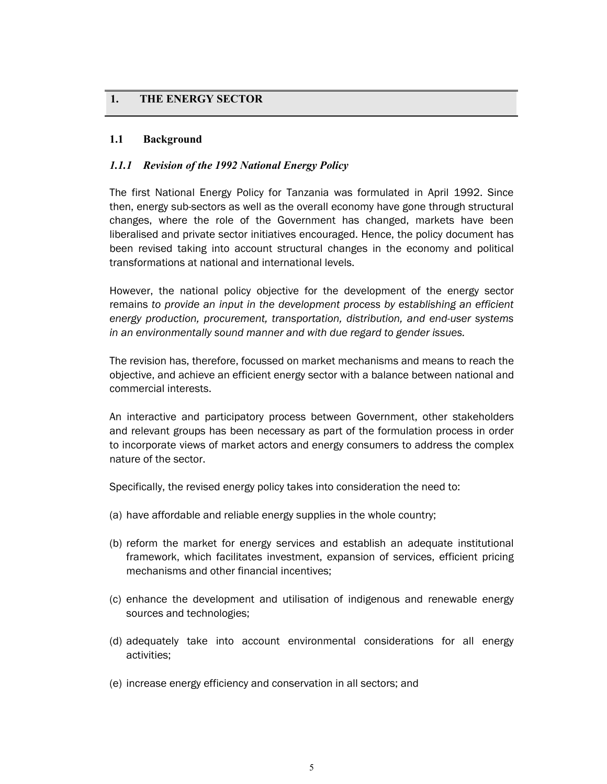# **1. THE ENERGY SECTOR**

#### **1.1 Background**

#### *1.1.1 Revision of the 1992 National Energy Policy*

The first National Energy Policy for Tanzania was formulated in April 1992. Since then, energy sub-sectors as well as the overall economy have gone through structural changes, where the role of the Government has changed, markets have been liberalised and private sector initiatives encouraged. Hence, the policy document has been revised taking into account structural changes in the economy and political transformations at national and international levels.

However, the national policy objective for the development of the energy sector remains *to provide an input in the development process by establishing an efficient energy production, procurement, transportation, distribution, and end-user systems in an environmentally sound manner and with due regard to gender issues.*

The revision has, therefore, focussed on market mechanisms and means to reach the objective, and achieve an efficient energy sector with a balance between national and commercial interests.

An interactive and participatory process between Government, other stakeholders and relevant groups has been necessary as part of the formulation process in order to incorporate views of market actors and energy consumers to address the complex nature of the sector.

Specifically, the revised energy policy takes into consideration the need to:

- (a) have affordable and reliable energy supplies in the whole country;
- (b) reform the market for energy services and establish an adequate institutional framework, which facilitates investment, expansion of services, efficient pricing mechanisms and other financial incentives;
- (c) enhance the development and utilisation of indigenous and renewable energy sources and technologies;
- (d) adequately take into account environmental considerations for all energy activities;
- (e) increase energy efficiency and conservation in all sectors; and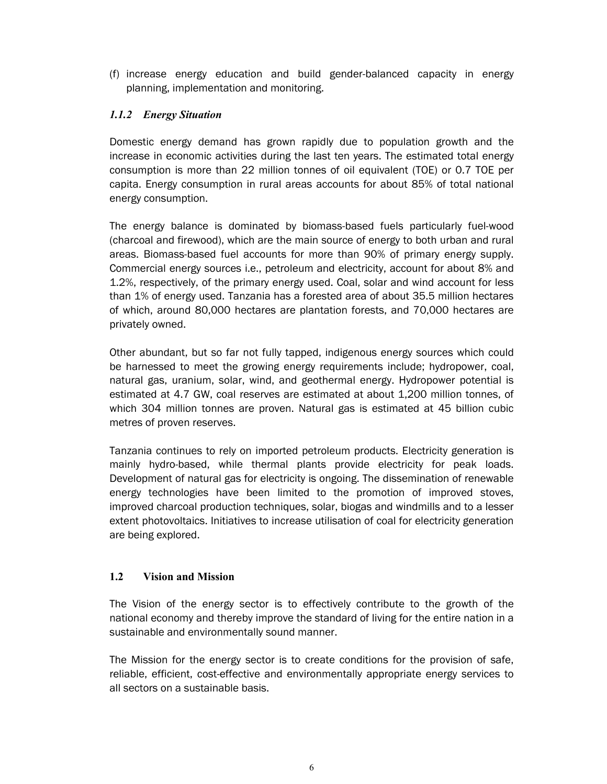(f) increase energy education and build gender-balanced capacity in energy planning, implementation and monitoring.

# *1.1.2 Energy Situation*

Domestic energy demand has grown rapidly due to population growth and the increase in economic activities during the last ten years. The estimated total energy consumption is more than 22 million tonnes of oil equivalent (TOE) or 0.7 TOE per capita. Energy consumption in rural areas accounts for about 85% of total national energy consumption.

The energy balance is dominated by biomass-based fuels particularly fuel-wood (charcoal and firewood), which are the main source of energy to both urban and rural areas. Biomass-based fuel accounts for more than 90% of primary energy supply. Commercial energy sources i.e., petroleum and electricity, account for about 8% and 1.2%, respectively, of the primary energy used. Coal, solar and wind account for less than 1% of energy used. Tanzania has a forested area of about 35.5 million hectares of which, around 80,000 hectares are plantation forests, and 70,000 hectares are privately owned.

Other abundant, but so far not fully tapped, indigenous energy sources which could be harnessed to meet the growing energy requirements include; hydropower, coal, natural gas, uranium, solar, wind, and geothermal energy. Hydropower potential is estimated at 4.7 GW, coal reserves are estimated at about 1,200 million tonnes, of which 304 million tonnes are proven. Natural gas is estimated at 45 billion cubic metres of proven reserves.

Tanzania continues to rely on imported petroleum products. Electricity generation is mainly hydro-based, while thermal plants provide electricity for peak loads. Development of natural gas for electricity is ongoing. The dissemination of renewable energy technologies have been limited to the promotion of improved stoves, improved charcoal production techniques, solar, biogas and windmills and to a lesser extent photovoltaics. Initiatives to increase utilisation of coal for electricity generation are being explored.

# **1.2 Vision and Mission**

The Vision of the energy sector is to effectively contribute to the growth of the national economy and thereby improve the standard of living for the entire nation in a sustainable and environmentally sound manner.

The Mission for the energy sector is to create conditions for the provision of safe, reliable, efficient, cost-effective and environmentally appropriate energy services to all sectors on a sustainable basis.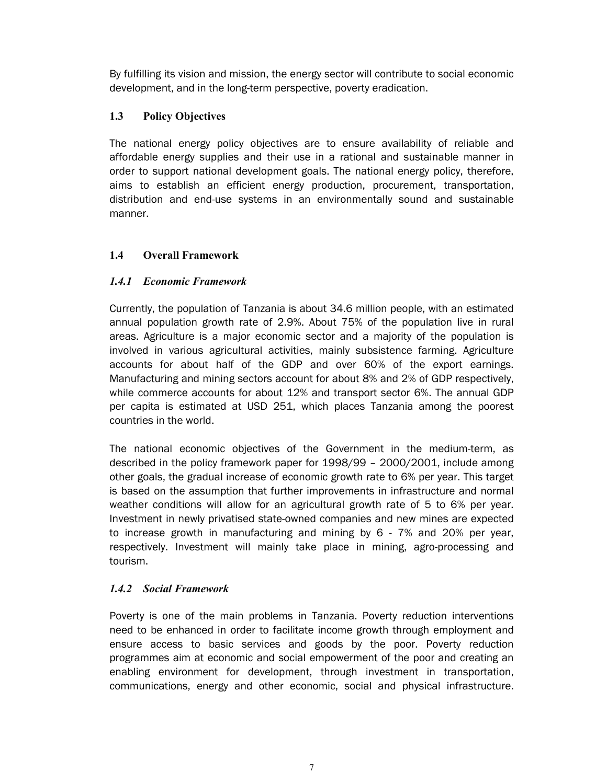By fulfilling its vision and mission, the energy sector will contribute to social economic development, and in the long-term perspective, poverty eradication.

# **1.3 Policy Objectives**

The national energy policy objectives are to ensure availability of reliable and affordable energy supplies and their use in a rational and sustainable manner in order to support national development goals. The national energy policy, therefore, aims to establish an efficient energy production, procurement, transportation, distribution and end-use systems in an environmentally sound and sustainable manner.

# **1.4 Overall Framework**

# *1.4.1 Economic Framework*

Currently, the population of Tanzania is about 34.6 million people, with an estimated annual population growth rate of 2.9%. About 75% of the population live in rural areas. Agriculture is a major economic sector and a majority of the population is involved in various agricultural activities, mainly subsistence farming. Agriculture accounts for about half of the GDP and over 60% of the export earnings. Manufacturing and mining sectors account for about 8% and 2% of GDP respectively, while commerce accounts for about 12% and transport sector 6%. The annual GDP per capita is estimated at USD 251, which places Tanzania among the poorest countries in the world.

The national economic objectives of the Government in the medium-term, as described in the policy framework paper for 1998/99 – 2000/2001, include among other goals, the gradual increase of economic growth rate to 6% per year. This target is based on the assumption that further improvements in infrastructure and normal weather conditions will allow for an agricultural growth rate of 5 to 6% per year. Investment in newly privatised state-owned companies and new mines are expected to increase growth in manufacturing and mining by 6 - 7% and 20% per year, respectively. Investment will mainly take place in mining, agro-processing and tourism.

# *1.4.2 Social Framework*

Poverty is one of the main problems in Tanzania. Poverty reduction interventions need to be enhanced in order to facilitate income growth through employment and ensure access to basic services and goods by the poor. Poverty reduction programmes aim at economic and social empowerment of the poor and creating an enabling environment for development, through investment in transportation, communications, energy and other economic, social and physical infrastructure.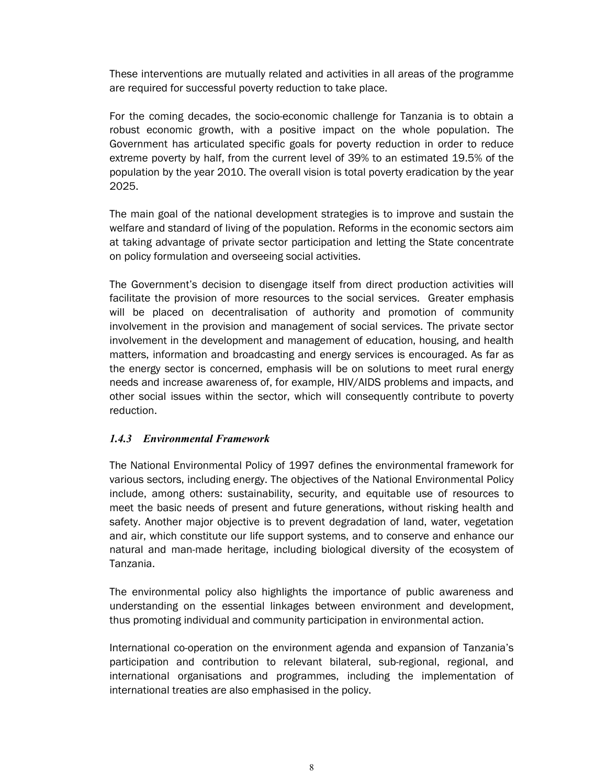These interventions are mutually related and activities in all areas of the programme are required for successful poverty reduction to take place.

For the coming decades, the socio-economic challenge for Tanzania is to obtain a robust economic growth, with a positive impact on the whole population. The Government has articulated specific goals for poverty reduction in order to reduce extreme poverty by half, from the current level of 39% to an estimated 19.5% of the population by the year 2010. The overall vision is total poverty eradication by the year 2025.

The main goal of the national development strategies is to improve and sustain the welfare and standard of living of the population. Reforms in the economic sectors aim at taking advantage of private sector participation and letting the State concentrate on policy formulation and overseeing social activities.

The Government's decision to disengage itself from direct production activities will facilitate the provision of more resources to the social services. Greater emphasis will be placed on decentralisation of authority and promotion of community involvement in the provision and management of social services. The private sector involvement in the development and management of education, housing, and health matters, information and broadcasting and energy services is encouraged. As far as the energy sector is concerned, emphasis will be on solutions to meet rural energy needs and increase awareness of, for example, HIV/AIDS problems and impacts, and other social issues within the sector, which will consequently contribute to poverty reduction.

# *1.4.3 Environmental Framework*

The National Environmental Policy of 1997 defines the environmental framework for various sectors, including energy. The objectives of the National Environmental Policy include, among others: sustainability, security, and equitable use of resources to meet the basic needs of present and future generations, without risking health and safety. Another major objective is to prevent degradation of land, water, vegetation and air, which constitute our life support systems, and to conserve and enhance our natural and man-made heritage, including biological diversity of the ecosystem of Tanzania.

The environmental policy also highlights the importance of public awareness and understanding on the essential linkages between environment and development, thus promoting individual and community participation in environmental action.

International co-operation on the environment agenda and expansion of Tanzania's participation and contribution to relevant bilateral, sub-regional, regional, and international organisations and programmes, including the implementation of international treaties are also emphasised in the policy.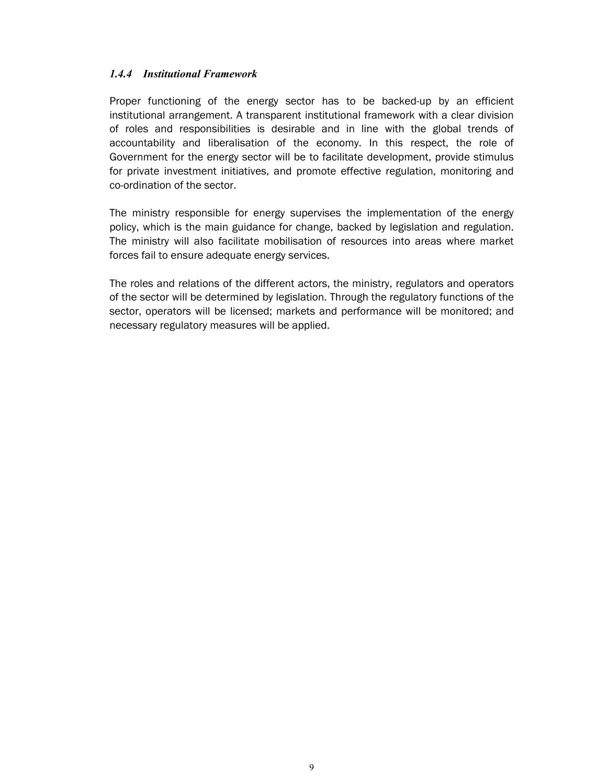#### *1.4.4 Institutional Framework*

Proper functioning of the energy sector has to be backed-up by an efficient institutional arrangement. A transparent institutional framework with a clear division of roles and responsibilities is desirable and in line with the global trends of accountability and liberalisation of the economy. In this respect, the role of Government for the energy sector will be to facilitate development, provide stimulus for private investment initiatives, and promote effective regulation, monitoring and co-ordination of the sector.

The ministry responsible for energy supervises the implementation of the energy policy, which is the main guidance for change, backed by legislation and regulation. The ministry will also facilitate mobilisation of resources into areas where market forces fail to ensure adequate energy services.

The roles and relations of the different actors, the ministry, regulators and operators of the sector will be determined by legislation. Through the regulatory functions of the sector, operators will be licensed; markets and performance will be monitored; and necessary regulatory measures will be applied.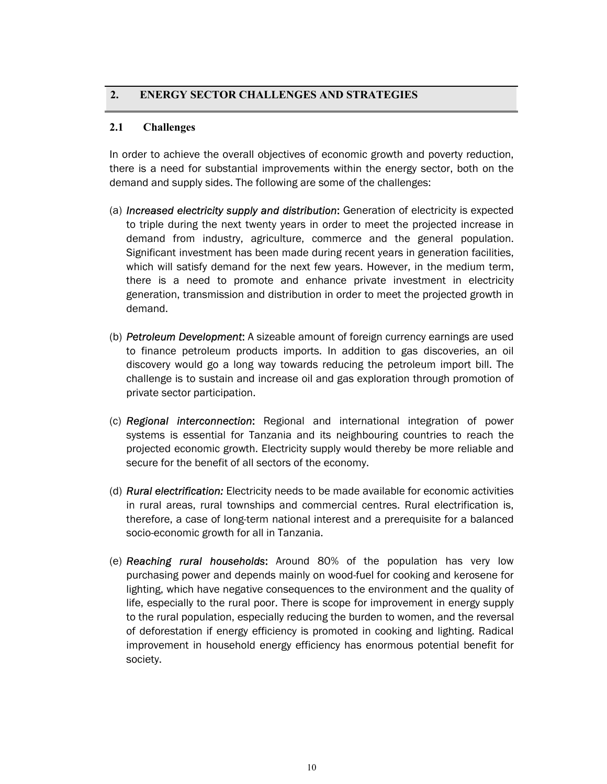# **2. ENERGY SECTOR CHALLENGES AND STRATEGIES**

#### **2.1 Challenges**

In order to achieve the overall objectives of economic growth and poverty reduction, there is a need for substantial improvements within the energy sector, both on the demand and supply sides. The following are some of the challenges:

- (a) *Increased electricity supply and distribution*: Generation of electricity is expected to triple during the next twenty years in order to meet the projected increase in demand from industry, agriculture, commerce and the general population. Significant investment has been made during recent years in generation facilities, which will satisfy demand for the next few years. However, in the medium term, there is a need to promote and enhance private investment in electricity generation, transmission and distribution in order to meet the projected growth in demand.
- (b) *Petroleum Development*: A sizeable amount of foreign currency earnings are used to finance petroleum products imports. In addition to gas discoveries, an oil discovery would go a long way towards reducing the petroleum import bill. The challenge is to sustain and increase oil and gas exploration through promotion of private sector participation.
- (c) *Regional interconnection*: Regional and international integration of power systems is essential for Tanzania and its neighbouring countries to reach the projected economic growth. Electricity supply would thereby be more reliable and secure for the benefit of all sectors of the economy.
- (d) *Rural electrification:* Electricity needs to be made available for economic activities in rural areas, rural townships and commercial centres. Rural electrification is, therefore, a case of long-term national interest and a prerequisite for a balanced socio-economic growth for all in Tanzania.
- (e) *Reaching rural households*: Around 80% of the population has very low purchasing power and depends mainly on wood-fuel for cooking and kerosene for lighting, which have negative consequences to the environment and the quality of life, especially to the rural poor. There is scope for improvement in energy supply to the rural population, especially reducing the burden to women, and the reversal of deforestation if energy efficiency is promoted in cooking and lighting. Radical improvement in household energy efficiency has enormous potential benefit for society.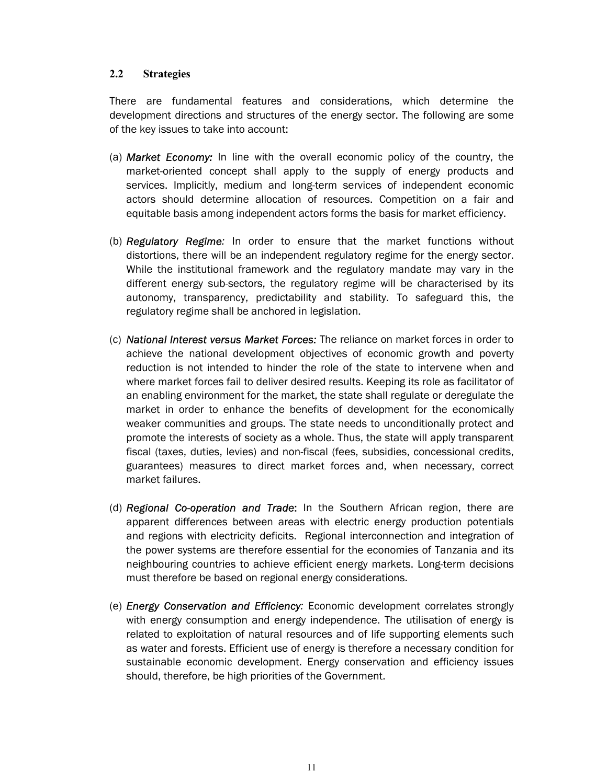#### **2.2 Strategies**

There are fundamental features and considerations, which determine the development directions and structures of the energy sector. The following are some of the key issues to take into account:

- (a) *Market Economy:* In line with the overall economic policy of the country, the market-oriented concept shall apply to the supply of energy products and services. Implicitly, medium and long-term services of independent economic actors should determine allocation of resources. Competition on a fair and equitable basis among independent actors forms the basis for market efficiency.
- (b) *Regulatory Regime:* In order to ensure that the market functions without distortions, there will be an independent regulatory regime for the energy sector. While the institutional framework and the regulatory mandate may vary in the different energy sub-sectors, the regulatory regime will be characterised by its autonomy, transparency, predictability and stability. To safeguard this, the regulatory regime shall be anchored in legislation.
- (c) *National Interest versus Market Forces:* The reliance on market forces in order to achieve the national development objectives of economic growth and poverty reduction is not intended to hinder the role of the state to intervene when and where market forces fail to deliver desired results. Keeping its role as facilitator of an enabling environment for the market, the state shall regulate or deregulate the market in order to enhance the benefits of development for the economically weaker communities and groups. The state needs to unconditionally protect and promote the interests of society as a whole. Thus, the state will apply transparent fiscal (taxes, duties, levies) and non-fiscal (fees, subsidies, concessional credits, guarantees) measures to direct market forces and, when necessary, correct market failures.
- (d) *Regional Co-operation and Trade*: In the Southern African region, there are apparent differences between areas with electric energy production potentials and regions with electricity deficits. Regional interconnection and integration of the power systems are therefore essential for the economies of Tanzania and its neighbouring countries to achieve efficient energy markets. Long-term decisions must therefore be based on regional energy considerations.
- (e) *Energy Conservation and Efficiency:* Economic development correlates strongly with energy consumption and energy independence. The utilisation of energy is related to exploitation of natural resources and of life supporting elements such as water and forests. Efficient use of energy is therefore a necessary condition for sustainable economic development. Energy conservation and efficiency issues should, therefore, be high priorities of the Government.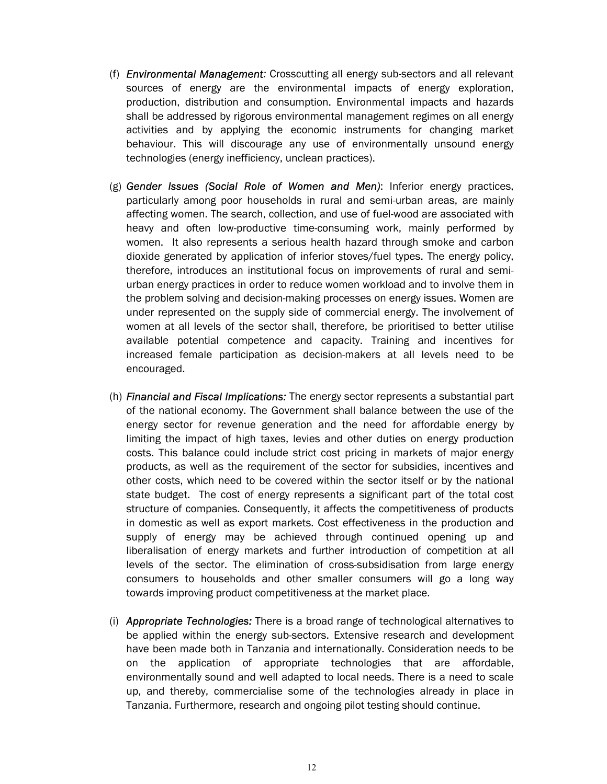- (f) *Environmental Management:* Crosscutting all energy sub-sectors and all relevant sources of energy are the environmental impacts of energy exploration, production, distribution and consumption. Environmental impacts and hazards shall be addressed by rigorous environmental management regimes on all energy activities and by applying the economic instruments for changing market behaviour. This will discourage any use of environmentally unsound energy technologies (energy inefficiency, unclean practices).
- (g) *Gender Issues (Social Role of Women and Men)*: Inferior energy practices, particularly among poor households in rural and semi-urban areas, are mainly affecting women. The search, collection, and use of fuel-wood are associated with heavy and often low-productive time-consuming work, mainly performed by women. It also represents a serious health hazard through smoke and carbon dioxide generated by application of inferior stoves/fuel types. The energy policy, therefore, introduces an institutional focus on improvements of rural and semiurban energy practices in order to reduce women workload and to involve them in the problem solving and decision-making processes on energy issues. Women are under represented on the supply side of commercial energy. The involvement of women at all levels of the sector shall, therefore, be prioritised to better utilise available potential competence and capacity. Training and incentives for increased female participation as decision-makers at all levels need to be encouraged.
- (h) *Financial and Fiscal Implications:* The energy sector represents a substantial part of the national economy. The Government shall balance between the use of the energy sector for revenue generation and the need for affordable energy by limiting the impact of high taxes, levies and other duties on energy production costs. This balance could include strict cost pricing in markets of major energy products, as well as the requirement of the sector for subsidies, incentives and other costs, which need to be covered within the sector itself or by the national state budget. The cost of energy represents a significant part of the total cost structure of companies. Consequently, it affects the competitiveness of products in domestic as well as export markets. Cost effectiveness in the production and supply of energy may be achieved through continued opening up and liberalisation of energy markets and further introduction of competition at all levels of the sector. The elimination of cross-subsidisation from large energy consumers to households and other smaller consumers will go a long way towards improving product competitiveness at the market place.
- (i) *Appropriate Technologies:* There is a broad range of technological alternatives to be applied within the energy sub-sectors. Extensive research and development have been made both in Tanzania and internationally. Consideration needs to be on the application of appropriate technologies that are affordable, environmentally sound and well adapted to local needs. There is a need to scale up, and thereby, commercialise some of the technologies already in place in Tanzania. Furthermore, research and ongoing pilot testing should continue.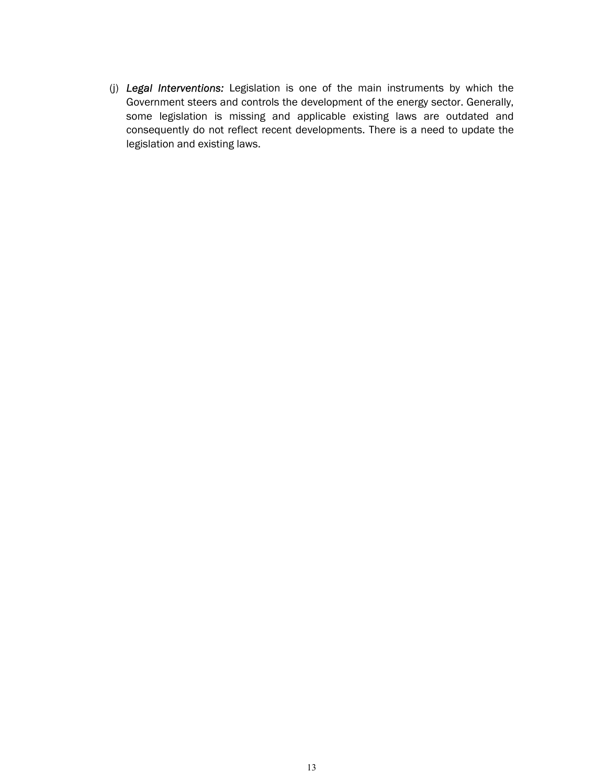(j) *Legal Interventions:* Legislation is one of the main instruments by which the Government steers and controls the development of the energy sector. Generally, some legislation is missing and applicable existing laws are outdated and consequently do not reflect recent developments. There is a need to update the legislation and existing laws.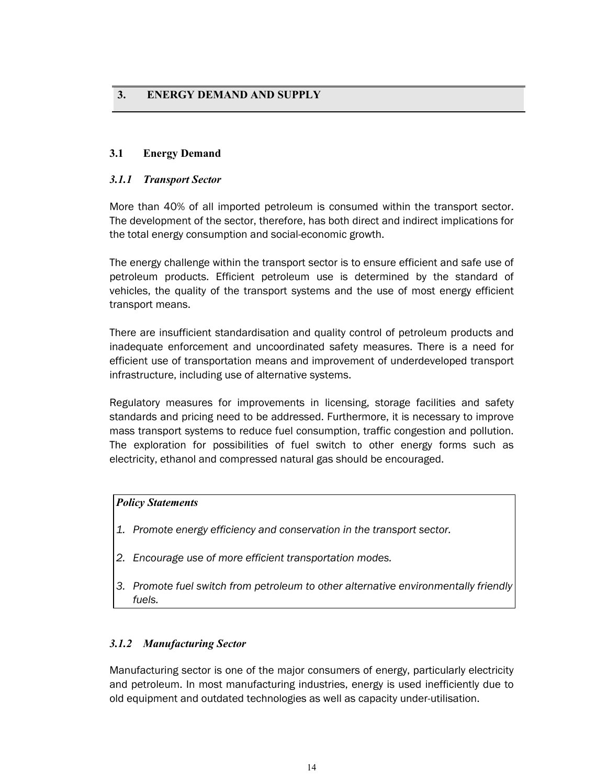# **3. ENERGY DEMAND AND SUPPLY**

#### **3.1 Energy Demand**

#### *3.1.1 Transport Sector*

More than 40% of all imported petroleum is consumed within the transport sector. The development of the sector, therefore, has both direct and indirect implications for the total energy consumption and social-economic growth.

The energy challenge within the transport sector is to ensure efficient and safe use of petroleum products. Efficient petroleum use is determined by the standard of vehicles, the quality of the transport systems and the use of most energy efficient transport means.

There are insufficient standardisation and quality control of petroleum products and inadequate enforcement and uncoordinated safety measures. There is a need for efficient use of transportation means and improvement of underdeveloped transport infrastructure, including use of alternative systems.

Regulatory measures for improvements in licensing, storage facilities and safety standards and pricing need to be addressed. Furthermore, it is necessary to improve mass transport systems to reduce fuel consumption, traffic congestion and pollution. The exploration for possibilities of fuel switch to other energy forms such as electricity, ethanol and compressed natural gas should be encouraged.

#### *Policy Statements*

- *1. Promote energy efficiency and conservation in the transport sector.*
- *2. Encourage use of more efficient transportation modes.*
- *3. Promote fuel switch from petroleum to other alternative environmentally friendly fuels.*

# *3.1.2 Manufacturing Sector*

Manufacturing sector is one of the major consumers of energy, particularly electricity and petroleum. In most manufacturing industries, energy is used inefficiently due to old equipment and outdated technologies as well as capacity under-utilisation.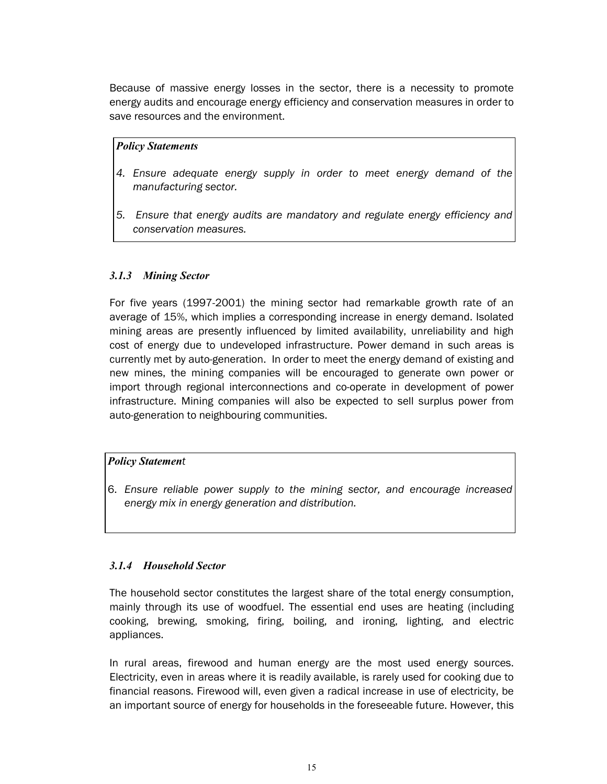Because of massive energy losses in the sector, there is a necessity to promote energy audits and encourage energy efficiency and conservation measures in order to save resources and the environment.

#### *Policy Statements*

- *4. Ensure adequate energy supply in order to meet energy demand of the manufacturing sector.*
- *5. Ensure that energy audits are mandatory and regulate energy efficiency and conservation measures.*

# *3.1.3 Mining Sector*

For five years (1997-2001) the mining sector had remarkable growth rate of an average of 15%, which implies a corresponding increase in energy demand. Isolated mining areas are presently influenced by limited availability, unreliability and high cost of energy due to undeveloped infrastructure. Power demand in such areas is currently met by auto-generation. In order to meet the energy demand of existing and new mines, the mining companies will be encouraged to generate own power or import through regional interconnections and co-operate in development of power infrastructure. Mining companies will also be expected to sell surplus power from auto-generation to neighbouring communities.

# *Policy Statement*

6. *Ensure reliable power supply to the mining sector, and encourage increased energy mix in energy generation and distribution.*

# *3.1.4 Household Sector*

The household sector constitutes the largest share of the total energy consumption, mainly through its use of woodfuel. The essential end uses are heating (including cooking, brewing, smoking, firing, boiling, and ironing, lighting, and electric appliances.

In rural areas, firewood and human energy are the most used energy sources. Electricity, even in areas where it is readily available, is rarely used for cooking due to financial reasons. Firewood will, even given a radical increase in use of electricity, be an important source of energy for households in the foreseeable future. However, this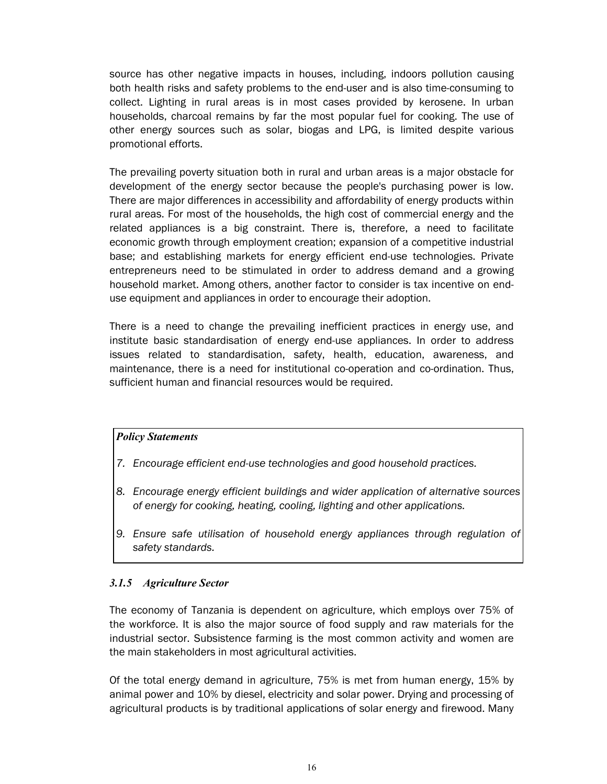source has other negative impacts in houses, including, indoors pollution causing both health risks and safety problems to the end-user and is also time-consuming to collect. Lighting in rural areas is in most cases provided by kerosene. In urban households, charcoal remains by far the most popular fuel for cooking. The use of other energy sources such as solar, biogas and LPG, is limited despite various promotional efforts.

The prevailing poverty situation both in rural and urban areas is a major obstacle for development of the energy sector because the people's purchasing power is low. There are major differences in accessibility and affordability of energy products within rural areas. For most of the households, the high cost of commercial energy and the related appliances is a big constraint. There is, therefore, a need to facilitate economic growth through employment creation; expansion of a competitive industrial base; and establishing markets for energy efficient end-use technologies. Private entrepreneurs need to be stimulated in order to address demand and a growing household market. Among others, another factor to consider is tax incentive on enduse equipment and appliances in order to encourage their adoption.

There is a need to change the prevailing inefficient practices in energy use, and institute basic standardisation of energy end-use appliances. In order to address issues related to standardisation, safety, health, education, awareness, and maintenance, there is a need for institutional co-operation and co-ordination. Thus, sufficient human and financial resources would be required.

#### *Policy Statements*

- *7. Encourage efficient end-use technologies and good household practices.*
- *8. Encourage energy efficient buildings and wider application of alternative sources of energy for cooking, heating, cooling, lighting and other applications.*
- 9. Ensure safe utilisation of household energy appliances through regulation of *safety standards.*

# *3.1.5 Agriculture Sector*

The economy of Tanzania is dependent on agriculture, which employs over 75% of the workforce. It is also the major source of food supply and raw materials for the industrial sector. Subsistence farming is the most common activity and women are the main stakeholders in most agricultural activities.

Of the total energy demand in agriculture, 75% is met from human energy, 15% by animal power and 10% by diesel, electricity and solar power. Drying and processing of agricultural products is by traditional applications of solar energy and firewood. Many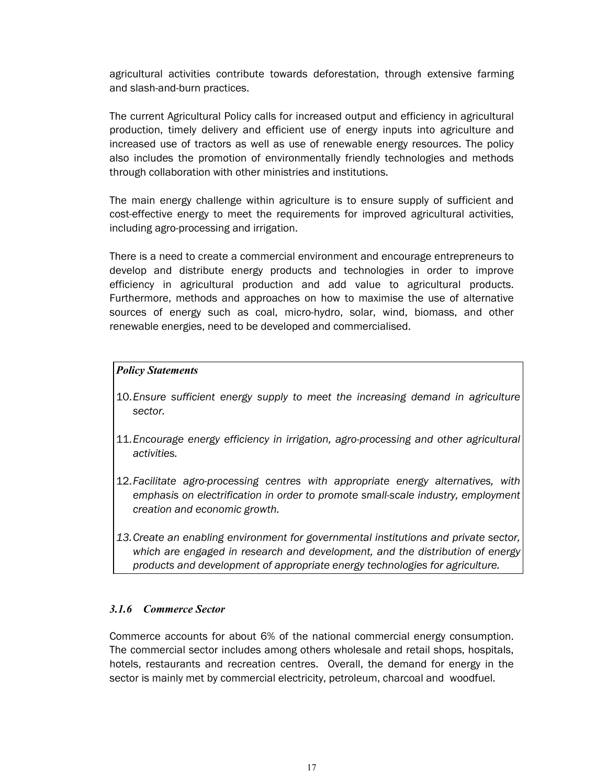agricultural activities contribute towards deforestation, through extensive farming and slash-and-burn practices.

The current Agricultural Policy calls for increased output and efficiency in agricultural production, timely delivery and efficient use of energy inputs into agriculture and increased use of tractors as well as use of renewable energy resources. The policy also includes the promotion of environmentally friendly technologies and methods through collaboration with other ministries and institutions.

The main energy challenge within agriculture is to ensure supply of sufficient and cost-effective energy to meet the requirements for improved agricultural activities, including agro-processing and irrigation.

There is a need to create a commercial environment and encourage entrepreneurs to develop and distribute energy products and technologies in order to improve efficiency in agricultural production and add value to agricultural products. Furthermore, methods and approaches on how to maximise the use of alternative sources of energy such as coal, micro-hydro, solar, wind, biomass, and other renewable energies, need to be developed and commercialised.

#### *Policy Statements*

- 10.*Ensure sufficient energy supply to meet the increasing demand in agriculture sector.*
- 11.*Encourage energy efficiency in irrigation, agro-processing and other agricultural activities.*
- 12.*Facilitate agro-processing centres with appropriate energy alternatives, with emphasis on electrification in order to promote small-scale industry, employment creation and economic growth.*
- *13.Create an enabling environment for governmental institutions and private sector, which are engaged in research and development, and the distribution of energy products and development of appropriate energy technologies for agriculture.*

#### *3.1.6 Commerce Sector*

Commerce accounts for about 6% of the national commercial energy consumption. The commercial sector includes among others wholesale and retail shops, hospitals, hotels, restaurants and recreation centres. Overall, the demand for energy in the sector is mainly met by commercial electricity, petroleum, charcoal and woodfuel.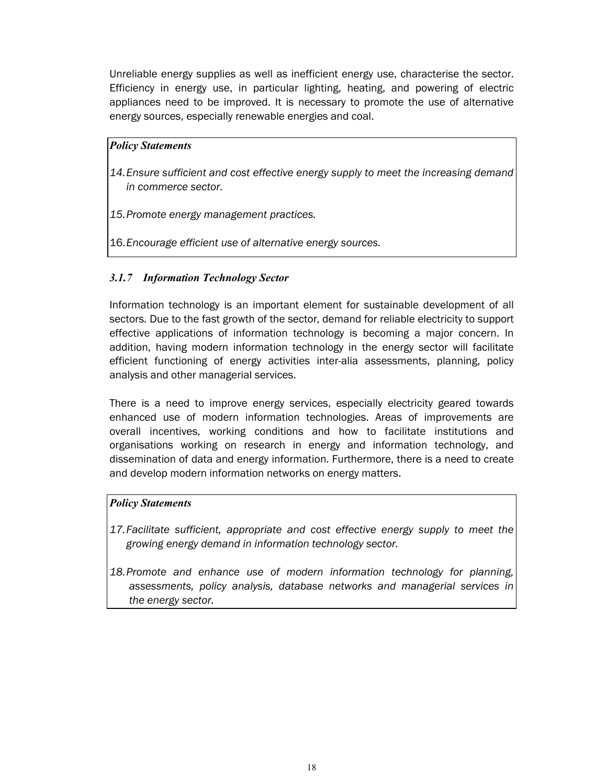Unreliable energy supplies as well as inefficient energy use, characterise the sector. Efficiency in energy use, in particular lighting, heating, and powering of electric appliances need to be improved. It is necessary to promote the use of alternative energy sources, especially renewable energies and coal.

#### *Policy Statements*

- 14. Ensure sufficient and cost effective energy supply to meet the increasing demand *in commerce sector.*
- *15.Promote energy management practices.*
- 16.*Encourage efficient use of alternative energy sources.*

# *3.1.7 Information Technology Sector*

Information technology is an important element for sustainable development of all sectors. Due to the fast growth of the sector, demand for reliable electricity to support effective applications of information technology is becoming a major concern. In addition, having modern information technology in the energy sector will facilitate efficient functioning of energy activities inter-alia assessments, planning, policy analysis and other managerial services.

There is a need to improve energy services, especially electricity geared towards enhanced use of modern information technologies. Areas of improvements are overall incentives, working conditions and how to facilitate institutions and organisations working on research in energy and information technology, and dissemination of data and energy information. Furthermore, there is a need to create and develop modern information networks on energy matters.

#### *Policy Statements*

- *17.Facilitate sufficient, appropriate and cost effective energy supply to meet the growing energy demand in information technology sector.*
- *18.Promote and enhance use of modern information technology for planning, assessments, policy analysis, database networks and managerial services in the energy sector.*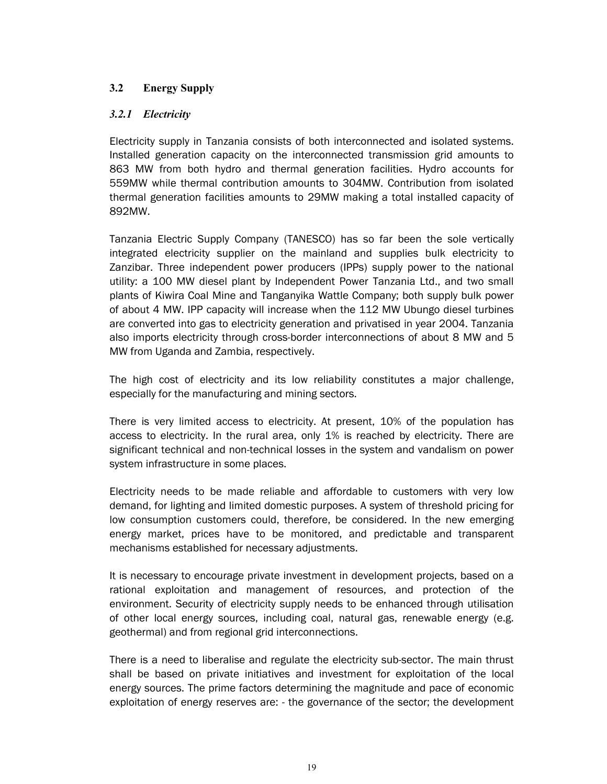# **3.2 Energy Supply**

# *3.2.1 Electricity*

Electricity supply in Tanzania consists of both interconnected and isolated systems. Installed generation capacity on the interconnected transmission grid amounts to 863 MW from both hydro and thermal generation facilities. Hydro accounts for 559MW while thermal contribution amounts to 304MW. Contribution from isolated thermal generation facilities amounts to 29MW making a total installed capacity of 892MW.

Tanzania Electric Supply Company (TANESCO) has so far been the sole vertically integrated electricity supplier on the mainland and supplies bulk electricity to Zanzibar. Three independent power producers (IPPs) supply power to the national utility: a 100 MW diesel plant by Independent Power Tanzania Ltd., and two small plants of Kiwira Coal Mine and Tanganyika Wattle Company; both supply bulk power of about 4 MW. IPP capacity will increase when the 112 MW Ubungo diesel turbines are converted into gas to electricity generation and privatised in year 2004. Tanzania also imports electricity through cross-border interconnections of about 8 MW and 5 MW from Uganda and Zambia, respectively.

The high cost of electricity and its low reliability constitutes a major challenge, especially for the manufacturing and mining sectors.

There is very limited access to electricity. At present, 10% of the population has access to electricity. In the rural area, only 1% is reached by electricity. There are significant technical and non-technical losses in the system and vandalism on power system infrastructure in some places.

Electricity needs to be made reliable and affordable to customers with very low demand, for lighting and limited domestic purposes. A system of threshold pricing for low consumption customers could, therefore, be considered. In the new emerging energy market, prices have to be monitored, and predictable and transparent mechanisms established for necessary adjustments.

It is necessary to encourage private investment in development projects, based on a rational exploitation and management of resources, and protection of the environment. Security of electricity supply needs to be enhanced through utilisation of other local energy sources, including coal, natural gas, renewable energy (e.g. geothermal) and from regional grid interconnections.

There is a need to liberalise and regulate the electricity sub-sector. The main thrust shall be based on private initiatives and investment for exploitation of the local energy sources. The prime factors determining the magnitude and pace of economic exploitation of energy reserves are: - the governance of the sector; the development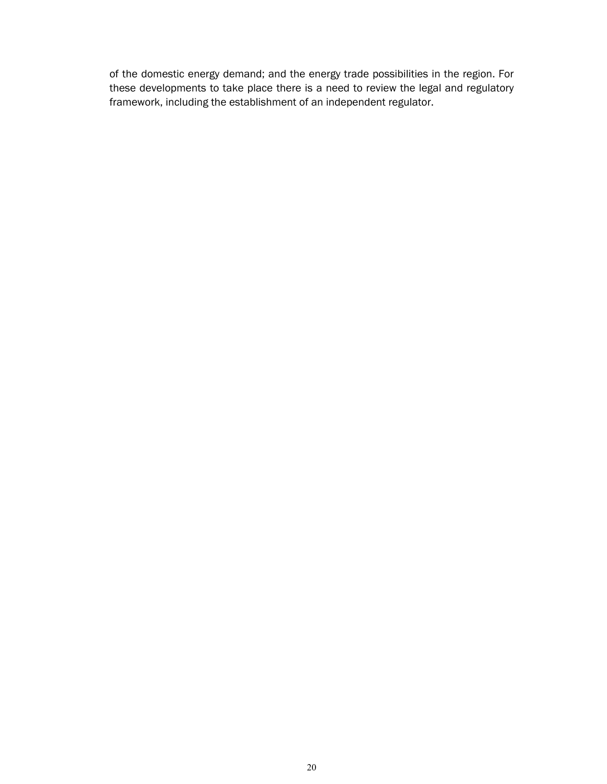of the domestic energy demand; and the energy trade possibilities in the region. For these developments to take place there is a need to review the legal and regulatory framework, including the establishment of an independent regulator.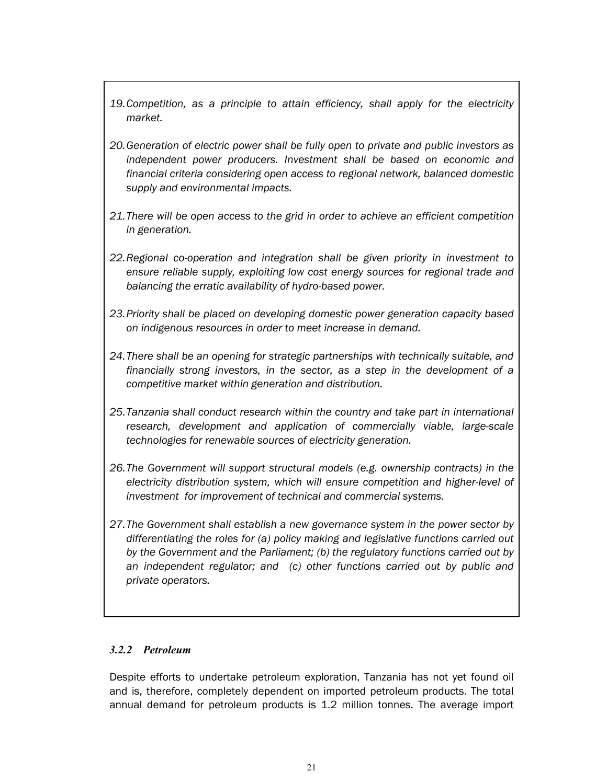- *19.Competition, as a principle to attain efficiency, shall apply for the electricity market.*
- *20.Generation of electric power shall be fully open to private and public investors as independent power producers. Investment shall be based on economic and financial criteria considering open access to regional network, balanced domestic supply and environmental impacts.*
- *21.There will be open access to the grid in order to achieve an efficient competition in generation.*
- *22.Regional co-operation and integration shall be given priority in investment to ensure reliable supply, exploiting low cost energy sources for regional trade and balancing the erratic availability of hydro-based power.*
- *23.Priority shall be placed on developing domestic power generation capacity based on indigenous resources in order to meet increase in demand.*
- 24. There shall be an opening for strategic partnerships with technically suitable, and *financially strong investors, in the sector, as a step in the development of a competitive market within generation and distribution.*
- *25.Tanzania shall conduct research within the country and take part in international research, development and application of commercially viable, large-scale technologies for renewable sources of electricity generation.*
- *26.The Government will support structural models (e.g. ownership contracts) in the electricity distribution system, which will ensure competition and higher-level of investment for improvement of technical and commercial systems.*
- *27.The Government shall establish a new governance system in the power sector by differentiating the roles for (a) policy making and legislative functions carried out by the Government and the Parliament; (b) the regulatory functions carried out by an independent regulator; and (c) other functions carried out by public and private operators.*

# *3.2.2 Petroleum*

Despite efforts to undertake petroleum exploration, Tanzania has not yet found oil and is, therefore, completely dependent on imported petroleum products. The total annual demand for petroleum products is 1.2 million tonnes. The average import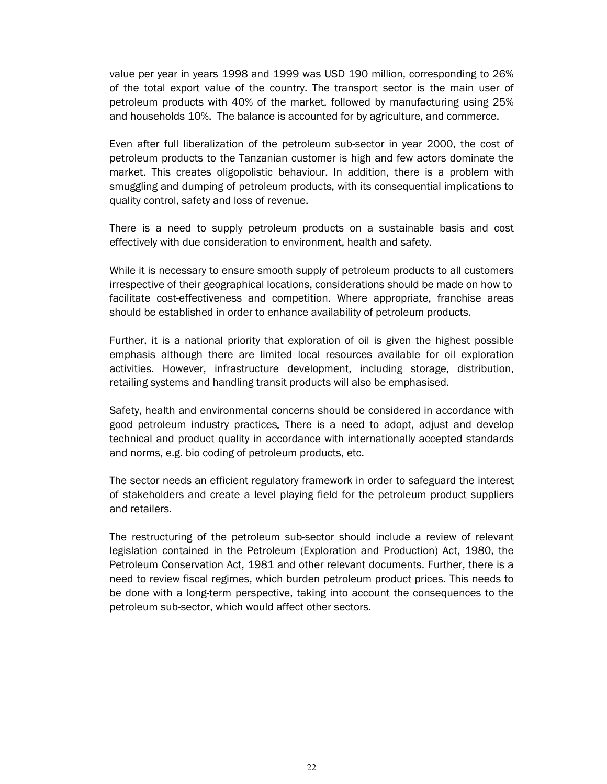value per year in years 1998 and 1999 was USD 190 million, corresponding to 26% of the total export value of the country. The transport sector is the main user of petroleum products with 40% of the market, followed by manufacturing using 25% and households 10%. The balance is accounted for by agriculture, and commerce.

Even after full liberalization of the petroleum sub-sector in year 2000, the cost of petroleum products to the Tanzanian customer is high and few actors dominate the market. This creates oligopolistic behaviour. In addition, there is a problem with smuggling and dumping of petroleum products, with its consequential implications to quality control, safety and loss of revenue.

There is a need to supply petroleum products on a sustainable basis and cost effectively with due consideration to environment, health and safety.

While it is necessary to ensure smooth supply of petroleum products to all customers irrespective of their geographical locations, considerations should be made on how to facilitate cost-effectiveness and competition. Where appropriate, franchise areas should be established in order to enhance availability of petroleum products.

Further, it is a national priority that exploration of oil is given the highest possible emphasis although there are limited local resources available for oil exploration activities. However, infrastructure development, including storage, distribution, retailing systems and handling transit products will also be emphasised.

Safety, health and environmental concerns should be considered in accordance with good petroleum industry practices*.* There is a need to adopt, adjust and develop technical and product quality in accordance with internationally accepted standards and norms, e.g. bio coding of petroleum products, etc.

The sector needs an efficient regulatory framework in order to safeguard the interest of stakeholders and create a level playing field for the petroleum product suppliers and retailers.

The restructuring of the petroleum sub-sector should include a review of relevant legislation contained in the Petroleum (Exploration and Production) Act, 1980, the Petroleum Conservation Act, 1981 and other relevant documents. Further, there is a need to review fiscal regimes, which burden petroleum product prices. This needs to be done with a long-term perspective, taking into account the consequences to the petroleum sub-sector, which would affect other sectors.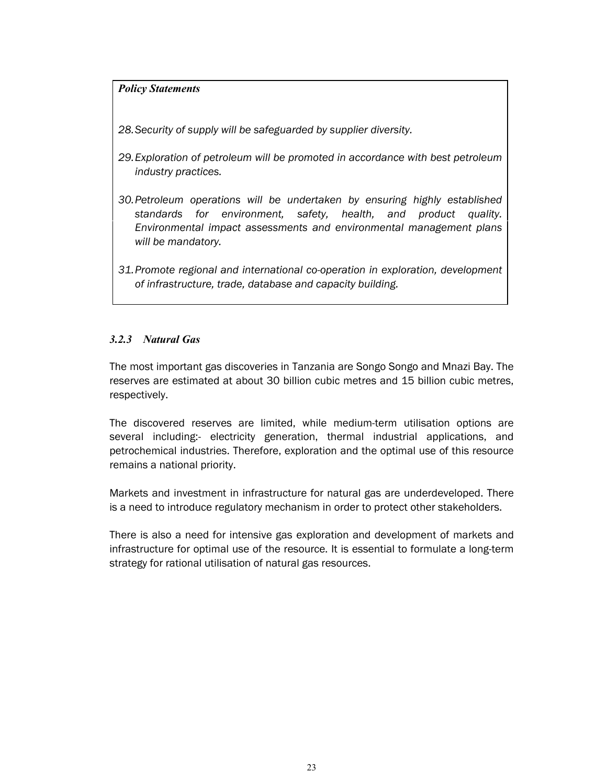#### *Policy Statements*

*28.Security of supply will be safeguarded by supplier diversity.* 

- *29.Exploration of petroleum will be promoted in accordance with best petroleum industry practices.*
- *30.Petroleum operations will be undertaken by ensuring highly established standards for environment, safety, health, and product quality. Environmental impact assessments and environmental management plans will be mandatory.*
- *31.Promote regional and international co-operation in exploration, development of infrastructure, trade, database and capacity building.*

# *3.2.3 Natural Gas*

The most important gas discoveries in Tanzania are Songo Songo and Mnazi Bay. The reserves are estimated at about 30 billion cubic metres and 15 billion cubic metres, respectively.

The discovered reserves are limited, while medium-term utilisation options are several including:- electricity generation, thermal industrial applications, and petrochemical industries. Therefore, exploration and the optimal use of this resource remains a national priority.

Markets and investment in infrastructure for natural gas are underdeveloped. There is a need to introduce regulatory mechanism in order to protect other stakeholders.

There is also a need for intensive gas exploration and development of markets and infrastructure for optimal use of the resource. It is essential to formulate a long-term strategy for rational utilisation of natural gas resources.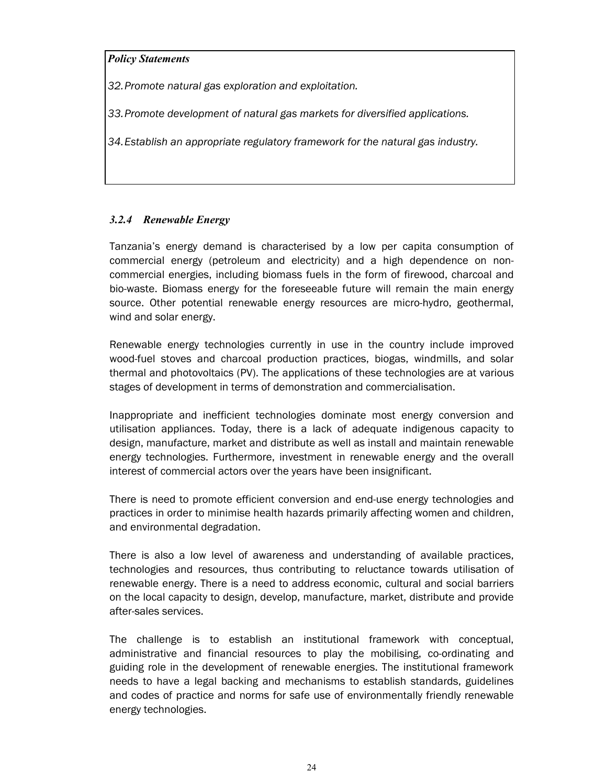#### *Policy Statements*

*32.Promote natural gas exploration and exploitation.* 

*33.Promote development of natural gas markets for diversified applications.* 

*34.Establish an appropriate regulatory framework for the natural gas industry.* 

# *3.2.4 Renewable Energy*

Tanzania's energy demand is characterised by a low per capita consumption of commercial energy (petroleum and electricity) and a high dependence on noncommercial energies, including biomass fuels in the form of firewood, charcoal and bio-waste. Biomass energy for the foreseeable future will remain the main energy source. Other potential renewable energy resources are micro-hydro, geothermal, wind and solar energy.

Renewable energy technologies currently in use in the country include improved wood-fuel stoves and charcoal production practices, biogas, windmills, and solar thermal and photovoltaics (PV). The applications of these technologies are at various stages of development in terms of demonstration and commercialisation.

Inappropriate and inefficient technologies dominate most energy conversion and utilisation appliances. Today, there is a lack of adequate indigenous capacity to design, manufacture, market and distribute as well as install and maintain renewable energy technologies. Furthermore, investment in renewable energy and the overall interest of commercial actors over the years have been insignificant.

There is need to promote efficient conversion and end-use energy technologies and practices in order to minimise health hazards primarily affecting women and children, and environmental degradation.

There is also a low level of awareness and understanding of available practices, technologies and resources, thus contributing to reluctance towards utilisation of renewable energy. There is a need to address economic, cultural and social barriers on the local capacity to design, develop, manufacture, market, distribute and provide after-sales services.

The challenge is to establish an institutional framework with conceptual, administrative and financial resources to play the mobilising, co-ordinating and guiding role in the development of renewable energies. The institutional framework needs to have a legal backing and mechanisms to establish standards, guidelines and codes of practice and norms for safe use of environmentally friendly renewable energy technologies.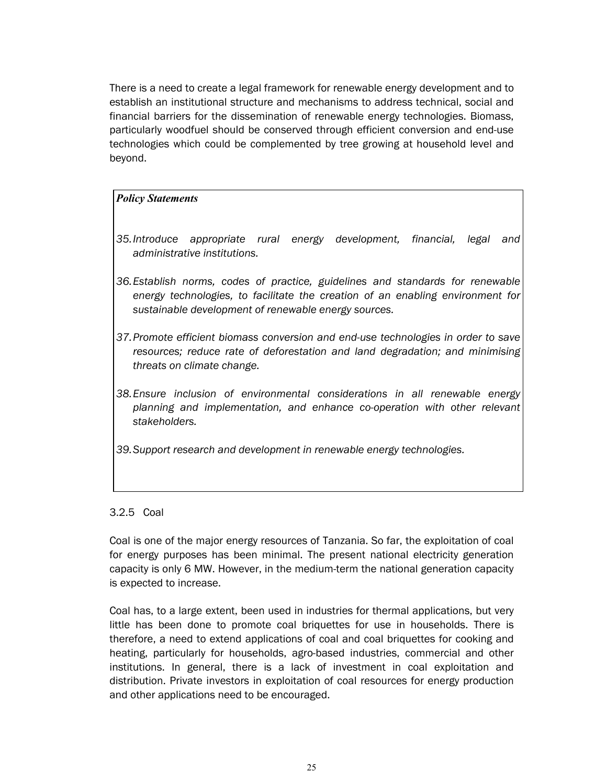There is a need to create a legal framework for renewable energy development and to establish an institutional structure and mechanisms to address technical, social and financial barriers for the dissemination of renewable energy technologies. Biomass, particularly woodfuel should be conserved through efficient conversion and end-use technologies which could be complemented by tree growing at household level and beyond.

#### *Policy Statements*

- *35.Introduce appropriate rural energy development, financial, legal and administrative institutions.*
- *36.Establish norms, codes of practice, guidelines and standards for renewable energy technologies, to facilitate the creation of an enabling environment for sustainable development of renewable energy sources.*
- *37.Promote efficient biomass conversion and end-use technologies in order to save resources; reduce rate of deforestation and land degradation; and minimising threats on climate change.*
- *38.Ensure inclusion of environmental considerations in all renewable energy planning and implementation, and enhance co-operation with other relevant stakeholders.*
- *39.Support research and development in renewable energy technologies.*

#### 3.2.5 Coal

Coal is one of the major energy resources of Tanzania. So far, the exploitation of coal for energy purposes has been minimal. The present national electricity generation capacity is only 6 MW. However, in the medium-term the national generation capacity is expected to increase.

Coal has, to a large extent, been used in industries for thermal applications, but very little has been done to promote coal briquettes for use in households. There is therefore, a need to extend applications of coal and coal briquettes for cooking and heating, particularly for households, agro-based industries, commercial and other institutions. In general, there is a lack of investment in coal exploitation and distribution. Private investors in exploitation of coal resources for energy production and other applications need to be encouraged.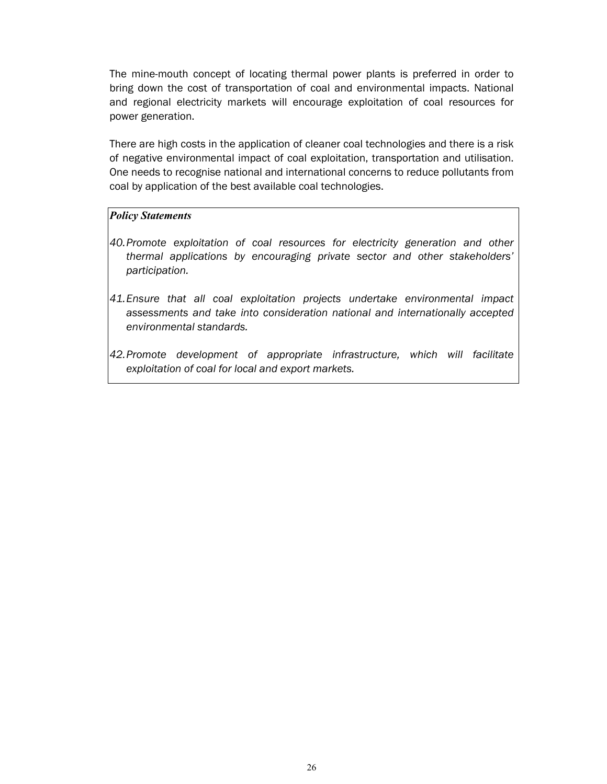The mine-mouth concept of locating thermal power plants is preferred in order to bring down the cost of transportation of coal and environmental impacts. National and regional electricity markets will encourage exploitation of coal resources for power generation.

There are high costs in the application of cleaner coal technologies and there is a risk of negative environmental impact of coal exploitation, transportation and utilisation. One needs to recognise national and international concerns to reduce pollutants from coal by application of the best available coal technologies.

#### *Policy Statements*

- *40.Promote exploitation of coal resources for electricity generation and other thermal applications by encouraging private sector and other stakeholders' participation.*
- *41.Ensure that all coal exploitation projects undertake environmental impact assessments and take into consideration national and internationally accepted environmental standards.*
- *42.Promote development of appropriate infrastructure, which will facilitate exploitation of coal for local and export markets.*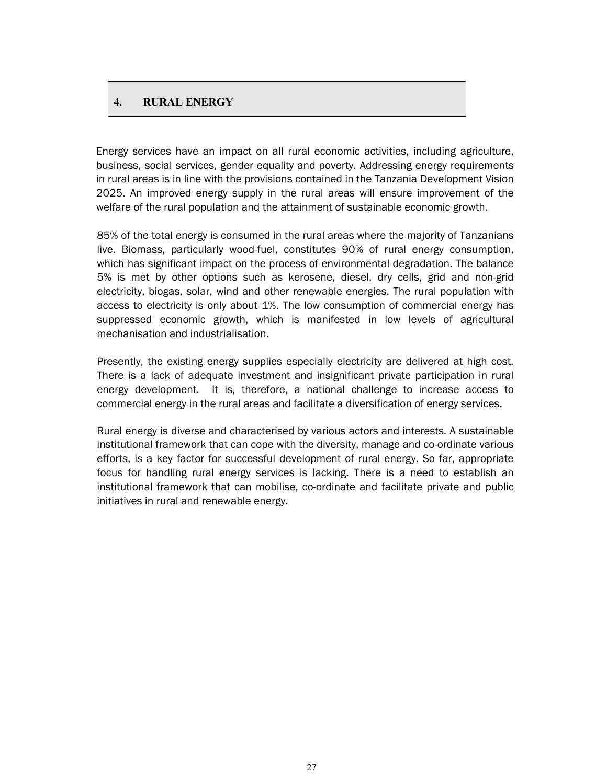#### **4. RURAL ENERGY**

Energy services have an impact on all rural economic activities, including agriculture, business, social services, gender equality and poverty. Addressing energy requirements in rural areas is in line with the provisions contained in the Tanzania Development Vision 2025. An improved energy supply in the rural areas will ensure improvement of the welfare of the rural population and the attainment of sustainable economic growth.

85% of the total energy is consumed in the rural areas where the majority of Tanzanians live. Biomass, particularly wood-fuel, constitutes 90% of rural energy consumption, which has significant impact on the process of environmental degradation. The balance 5% is met by other options such as kerosene, diesel, dry cells, grid and non-grid electricity, biogas, solar, wind and other renewable energies. The rural population with access to electricity is only about 1%. The low consumption of commercial energy has suppressed economic growth, which is manifested in low levels of agricultural mechanisation and industrialisation.

Presently, the existing energy supplies especially electricity are delivered at high cost. There is a lack of adequate investment and insignificant private participation in rural energy development. It is, therefore, a national challenge to increase access to commercial energy in the rural areas and facilitate a diversification of energy services.

Rural energy is diverse and characterised by various actors and interests. A sustainable institutional framework that can cope with the diversity, manage and co-ordinate various efforts, is a key factor for successful development of rural energy. So far, appropriate focus for handling rural energy services is lacking. There is a need to establish an institutional framework that can mobilise, co-ordinate and facilitate private and public initiatives in rural and renewable energy.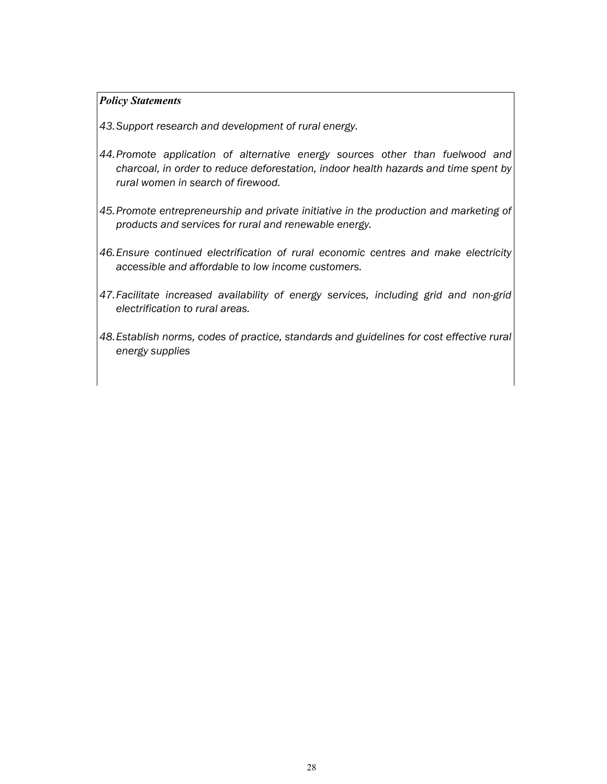#### *Policy Statements*

*43. Support research and development of rural energy.* 

- *44.Promote application of alternative energy sources other than fuelwood and charcoal, in order to reduce deforestation, indoor health hazards and time spent by rural women in search of firewood.*
- *45.Promote entrepreneurship and private initiative in the production and marketing of products and services for rural and renewable energy.*
- *46.Ensure continued electrification of rural economic centres and make electricity accessible and affordable to low income customers.*
- *47.Facilitate increased availability of energy services, including grid and non-grid electrification to rural areas.*
- *48.Establish norms, codes of practice, standards and guidelines for cost effective rural energy supplies*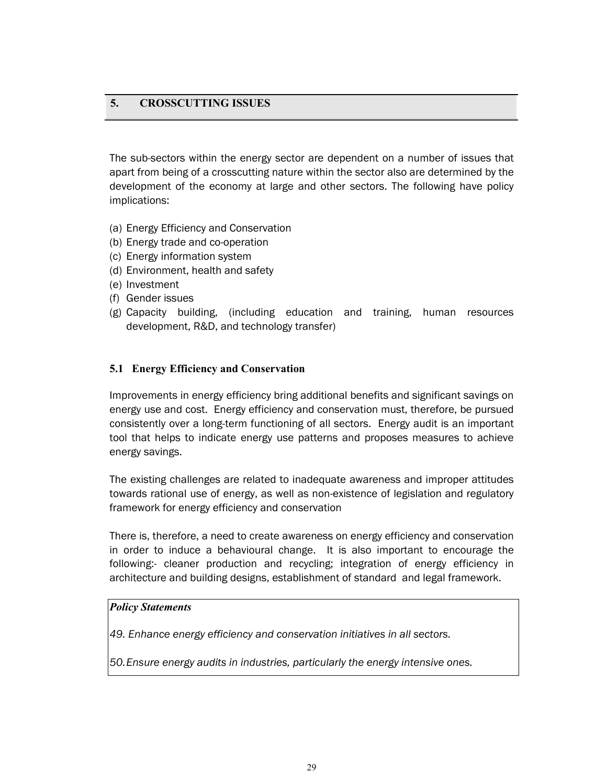# **5. CROSSCUTTING ISSUES**

The sub-sectors within the energy sector are dependent on a number of issues that apart from being of a crosscutting nature within the sector also are determined by the development of the economy at large and other sectors. The following have policy implications:

- (a) Energy Efficiency and Conservation
- (b) Energy trade and co-operation
- (c) Energy information system
- (d) Environment, health and safety
- (e) Investment

 $\overline{a}$ 

- (f) Gender issues
- (g) Capacity building, (including education and training, human resources development, R&D, and technology transfer)

#### **5.1 Energy Efficiency and Conservation**

Improvements in energy efficiency bring additional benefits and significant savings on energy use and cost. Energy efficiency and conservation must, therefore, be pursued consistently over a long-term functioning of all sectors. Energy audit is an important tool that helps to indicate energy use patterns and proposes measures to achieve energy savings.

The existing challenges are related to inadequate awareness and improper attitudes towards rational use of energy, as well as non-existence of legislation and regulatory framework for energy efficiency and conservation

There is, therefore, a need to create awareness on energy efficiency and conservation in order to induce a behavioural change. It is also important to encourage the following:- cleaner production and recycling; integration of energy efficiency in architecture and building designs, establishment of standard and legal framework.

#### *Policy Statements*

*49. Enhance energy efficiency and conservation initiatives in all sectors.* 

*50.Ensure energy audits in industries, particularly the energy intensive ones.*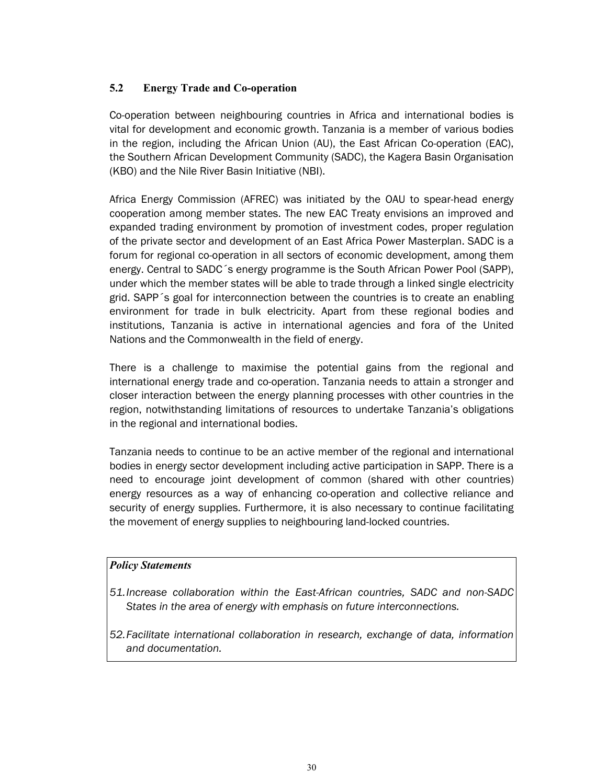# **5.2 Energy Trade and Co-operation**

Co-operation between neighbouring countries in Africa and international bodies is vital for development and economic growth. Tanzania is a member of various bodies in the region, including the African Union (AU), the East African Co-operation (EAC), the Southern African Development Community (SADC), the Kagera Basin Organisation (KBO) and the Nile River Basin Initiative (NBI).

Africa Energy Commission (AFREC) was initiated by the OAU to spear-head energy cooperation among member states. The new EAC Treaty envisions an improved and expanded trading environment by promotion of investment codes, proper regulation of the private sector and development of an East Africa Power Masterplan. SADC is a forum for regional co-operation in all sectors of economic development, among them energy. Central to SADC´s energy programme is the South African Power Pool (SAPP), under which the member states will be able to trade through a linked single electricity grid. SAPP´s goal for interconnection between the countries is to create an enabling environment for trade in bulk electricity. Apart from these regional bodies and institutions, Tanzania is active in international agencies and fora of the United Nations and the Commonwealth in the field of energy.

There is a challenge to maximise the potential gains from the regional and international energy trade and co-operation. Tanzania needs to attain a stronger and closer interaction between the energy planning processes with other countries in the region, notwithstanding limitations of resources to undertake Tanzania's obligations in the regional and international bodies.

Tanzania needs to continue to be an active member of the regional and international bodies in energy sector development including active participation in SAPP. There is a need to encourage joint development of common (shared with other countries) energy resources as a way of enhancing co-operation and collective reliance and security of energy supplies. Furthermore, it is also necessary to continue facilitating the movement of energy supplies to neighbouring land-locked countries.

# *Policy Statements*

- *51.Increase collaboration within the East-African countries, SADC and non-SADC States in the area of energy with emphasis on future interconnections.*
- *52.Facilitate international collaboration in research, exchange of data, information and documentation.*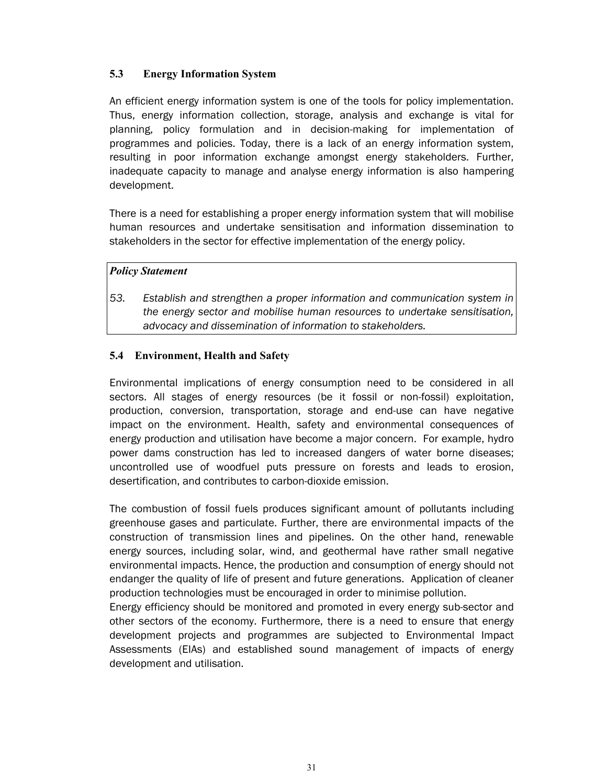# **5.3 Energy Information System**

An efficient energy information system is one of the tools for policy implementation. Thus, energy information collection, storage, analysis and exchange is vital for planning, policy formulation and in decision-making for implementation of programmes and policies. Today, there is a lack of an energy information system, resulting in poor information exchange amongst energy stakeholders. Further, inadequate capacity to manage and analyse energy information is also hampering development.

There is a need for establishing a proper energy information system that will mobilise human resources and undertake sensitisation and information dissemination to stakeholders in the sector for effective implementation of the energy policy.

#### *Policy Statement*

*53. Establish and strengthen a proper information and communication system in the energy sector and mobilise human resources to undertake sensitisation, advocacy and dissemination of information to stakeholders.* 

#### **5.4 Environment, Health and Safety**

Environmental implications of energy consumption need to be considered in all sectors. All stages of energy resources (be it fossil or non-fossil) exploitation, production, conversion, transportation, storage and end-use can have negative impact on the environment. Health, safety and environmental consequences of energy production and utilisation have become a major concern. For example, hydro power dams construction has led to increased dangers of water borne diseases; uncontrolled use of woodfuel puts pressure on forests and leads to erosion, desertification, and contributes to carbon-dioxide emission.

The combustion of fossil fuels produces significant amount of pollutants including greenhouse gases and particulate. Further, there are environmental impacts of the construction of transmission lines and pipelines. On the other hand, renewable energy sources, including solar, wind, and geothermal have rather small negative environmental impacts. Hence, the production and consumption of energy should not endanger the quality of life of present and future generations. Application of cleaner production technologies must be encouraged in order to minimise pollution.

Energy efficiency should be monitored and promoted in every energy sub-sector and other sectors of the economy. Furthermore, there is a need to ensure that energy development projects and programmes are subjected to Environmental Impact Assessments (EIAs) and established sound management of impacts of energy development and utilisation.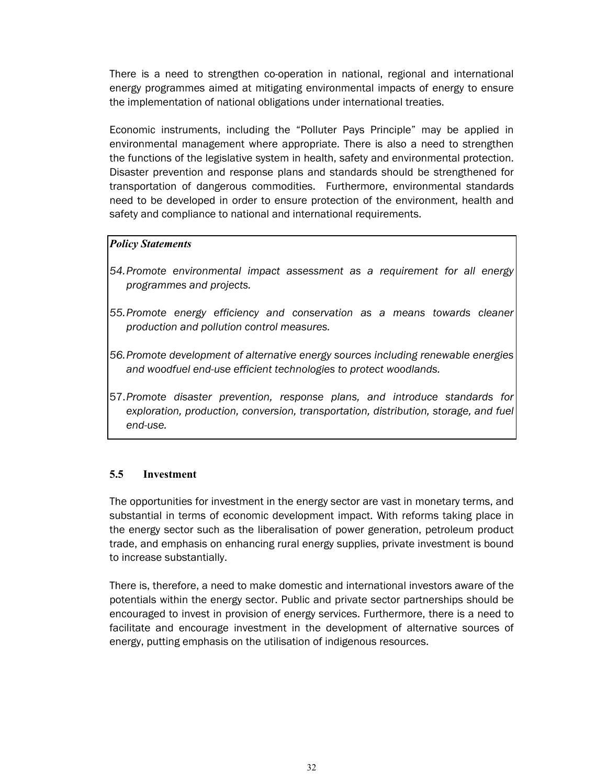There is a need to strengthen co-operation in national, regional and international energy programmes aimed at mitigating environmental impacts of energy to ensure the implementation of national obligations under international treaties.

Economic instruments, including the "Polluter Pays Principle" may be applied in environmental management where appropriate. There is also a need to strengthen the functions of the legislative system in health, safety and environmental protection. Disaster prevention and response plans and standards should be strengthened for transportation of dangerous commodities. Furthermore, environmental standards need to be developed in order to ensure protection of the environment, health and safety and compliance to national and international requirements.

#### *Policy Statements*

- *54.Promote environmental impact assessment as a requirement for all energy programmes and projects.*
- *55.Promote energy efficiency and conservation as a means towards cleaner production and pollution control measures.*
- *56.Promote development of alternative energy sources including renewable energies and woodfuel end-use efficient technologies to protect woodlands.*
- 57.*Promote disaster prevention, response plans, and introduce standards for exploration, production, conversion, transportation, distribution, storage, and fuel end-use.*

# **5.5 Investment**

The opportunities for investment in the energy sector are vast in monetary terms, and substantial in terms of economic development impact. With reforms taking place in the energy sector such as the liberalisation of power generation, petroleum product trade, and emphasis on enhancing rural energy supplies, private investment is bound to increase substantially.

There is, therefore, a need to make domestic and international investors aware of the potentials within the energy sector. Public and private sector partnerships should be encouraged to invest in provision of energy services. Furthermore, there is a need to facilitate and encourage investment in the development of alternative sources of energy, putting emphasis on the utilisation of indigenous resources.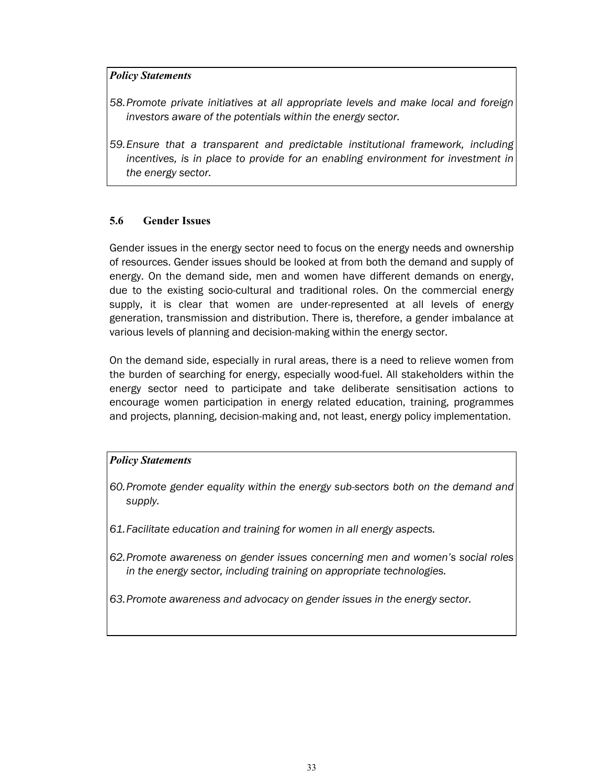#### *Policy Statements*

- *58.Promote private initiatives at all appropriate levels and make local and foreign investors aware of the potentials within the energy sector.*
- *59.Ensure that a transparent and predictable institutional framework, including incentives, is in place to provide for an enabling environment for investment in the energy sector.*

#### **5.6 Gender Issues**

Gender issues in the energy sector need to focus on the energy needs and ownership of resources. Gender issues should be looked at from both the demand and supply of energy. On the demand side, men and women have different demands on energy, due to the existing socio-cultural and traditional roles. On the commercial energy supply, it is clear that women are under-represented at all levels of energy generation, transmission and distribution. There is, therefore, a gender imbalance at various levels of planning and decision-making within the energy sector.

On the demand side, especially in rural areas, there is a need to relieve women from the burden of searching for energy, especially wood-fuel. All stakeholders within the energy sector need to participate and take deliberate sensitisation actions to encourage women participation in energy related education, training, programmes and projects, planning, decision-making and, not least, energy policy implementation.

# *Policy Statements*

- *60.Promote gender equality within the energy sub-sectors both on the demand and supply.*
- *61.Facilitate education and training for women in all energy aspects.*
- *62.Promote awareness on gender issues concerning men and women's social roles in the energy sector, including training on appropriate technologies.*
- *63.Promote awareness and advocacy on gender issues in the energy sector.*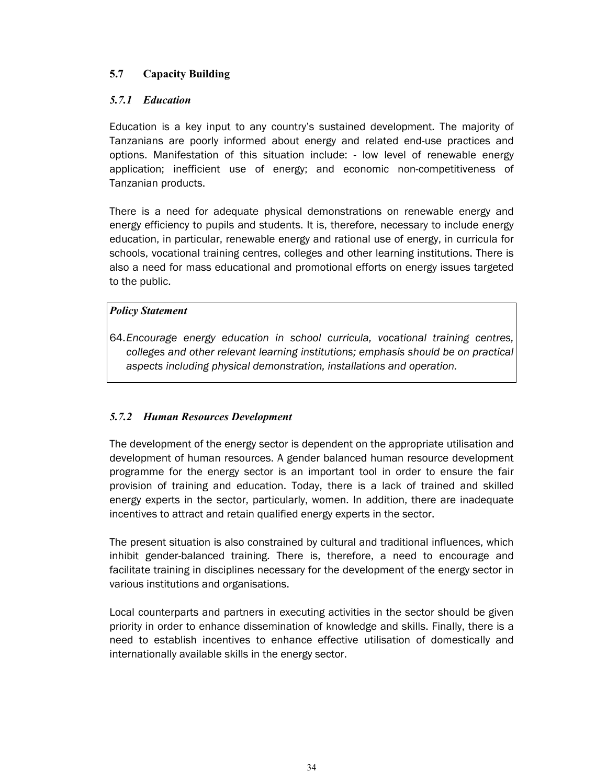# **5.7 Capacity Building**

# *5.7.1 Education*

Education is a key input to any country's sustained development. The majority of Tanzanians are poorly informed about energy and related end-use practices and options. Manifestation of this situation include: - low level of renewable energy application; inefficient use of energy; and economic non-competitiveness of Tanzanian products.

There is a need for adequate physical demonstrations on renewable energy and energy efficiency to pupils and students. It is, therefore, necessary to include energy education, in particular, renewable energy and rational use of energy, in curricula for schools, vocational training centres, colleges and other learning institutions. There is also a need for mass educational and promotional efforts on energy issues targeted to the public.

# *Policy Statement*

64.*Encourage energy education in school curricula, vocational training centres, colleges and other relevant learning institutions; emphasis should be on practical aspects including physical demonstration, installations and operation.*

# *5.7.2 Human Resources Development*

The development of the energy sector is dependent on the appropriate utilisation and development of human resources. A gender balanced human resource development programme for the energy sector is an important tool in order to ensure the fair provision of training and education. Today, there is a lack of trained and skilled energy experts in the sector, particularly, women. In addition, there are inadequate incentives to attract and retain qualified energy experts in the sector.

The present situation is also constrained by cultural and traditional influences, which inhibit gender-balanced training. There is, therefore, a need to encourage and facilitate training in disciplines necessary for the development of the energy sector in various institutions and organisations.

Local counterparts and partners in executing activities in the sector should be given priority in order to enhance dissemination of knowledge and skills. Finally, there is a need to establish incentives to enhance effective utilisation of domestically and internationally available skills in the energy sector.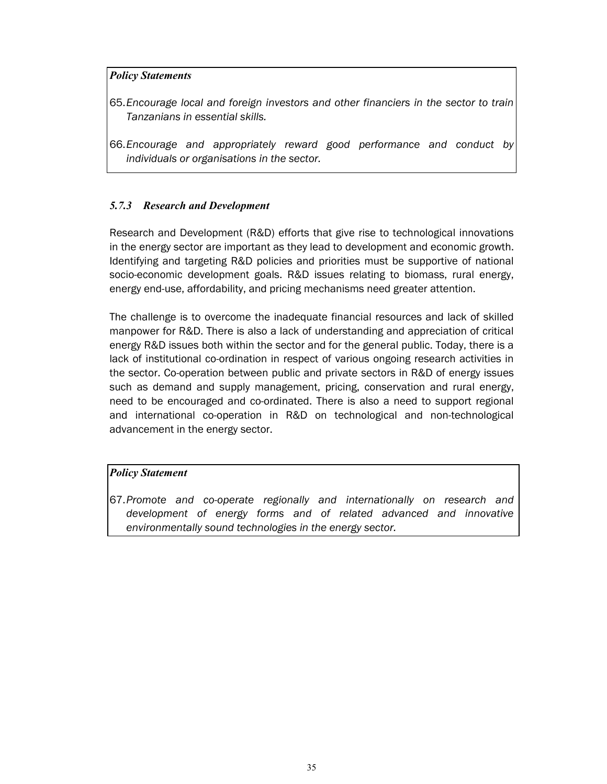#### *Policy Statements*

- 65.*Encourage local and foreign investors and other financiers in the sector to train Tanzanians in essential skills.*
- 66.*Encourage and appropriately reward good performance and conduct by individuals or organisations in the sector.*

# *5.7.3 Research and Development*

Research and Development (R&D) efforts that give rise to technological innovations in the energy sector are important as they lead to development and economic growth. Identifying and targeting R&D policies and priorities must be supportive of national socio-economic development goals. R&D issues relating to biomass, rural energy, energy end-use, affordability, and pricing mechanisms need greater attention.

The challenge is to overcome the inadequate financial resources and lack of skilled manpower for R&D. There is also a lack of understanding and appreciation of critical energy R&D issues both within the sector and for the general public. Today, there is a lack of institutional co-ordination in respect of various ongoing research activities in the sector. Co-operation between public and private sectors in R&D of energy issues such as demand and supply management, pricing, conservation and rural energy, need to be encouraged and co-ordinated. There is also a need to support regional and international co-operation in R&D on technological and non-technological advancement in the energy sector.

#### *Policy Statement*

67.*Promote and co-operate regionally and internationally on research and development of energy forms and of related advanced and innovative environmentally sound technologies in the energy sector.*